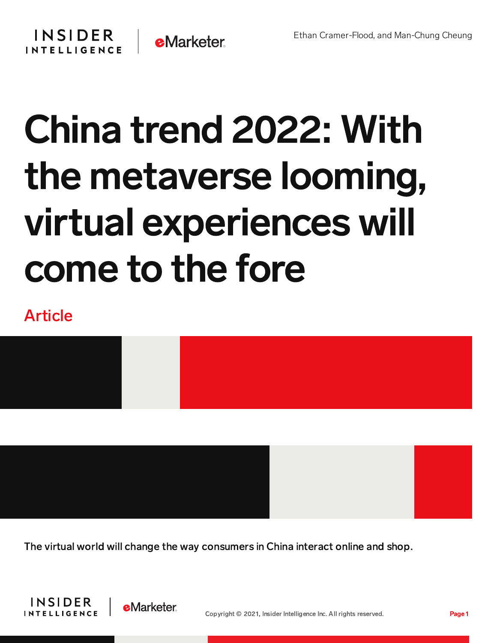## **INSIDER INTELLIGENCE**



## China trend 2022: With the metaverse looming, virtual experiences will come to the fore

## Article

The virtual world will change the way consumers in China interact online and shop.



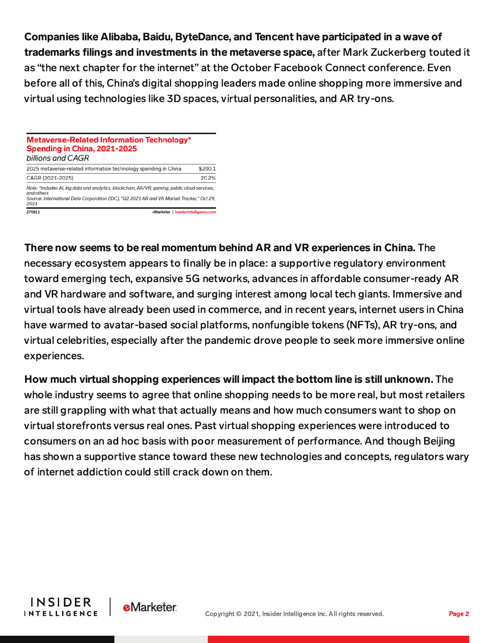Companies like Alibaba, Baidu, ByteDance, and Tencent have participated in a wave of trademarks filings and investments in the metaverse space, after Mark Zuckerberg touted it as "the next chapter for the internet" at the October Facebook Connect conference. Even before all of this, China's digital shopping leaders made online shopping more immersive and virtual using technologies like 3D spaces, virtual personalities, and AR try-ons.

## **Metaverse-Related Information Technology\*** Spending in China, 2021-2025 billions and CAGR 2025 metaverse-related information technology spending in China  $$200.1$ CAGR (2021-2025) 20.2% Note: \*includes AI, big data and analytics, blockchain, AR/VR, gaming, public cloud services, Source: International Data Corporation (IDC), "Q2 2021 AR and VR Market Tracker," Oct 29, 2021 270811 eMarketer | InsiderIntelligence.com

There now seems to be real momentum behind AR and VR experiences in China. The necessary ecosystem appears to finally be in place: a supportive regulatory environment toward emerging tech, expansive 5G networks, advances in affordable consumer-ready AR and VR hardware and software, and surging interest among local tech giants. Immersive and virtual tools have already been used in commerce, and in recent years, internet users in China have warmed to avatar-based social platforms, nonfungible tokens (NFTs), AR try-ons, and virtual celebrities, especially after the pandemic drove people to seek more immersive online experiences.

How much virtual shopping experiences will impact the bottom line is still unknown. The whole industry seems to agree that online shopping needs to be more real, but most retailers are still grappling with what that actually means and how much consumers want to shop on virtual storefronts versus real ones. Past virtual shopping experiences were introduced to consumers on an ad hoc basis with poor measurement of performance. And though Beijing has shown a supportive stance toward these new technologies and concepts, regulators wary of internet addiction could still crack down on them.